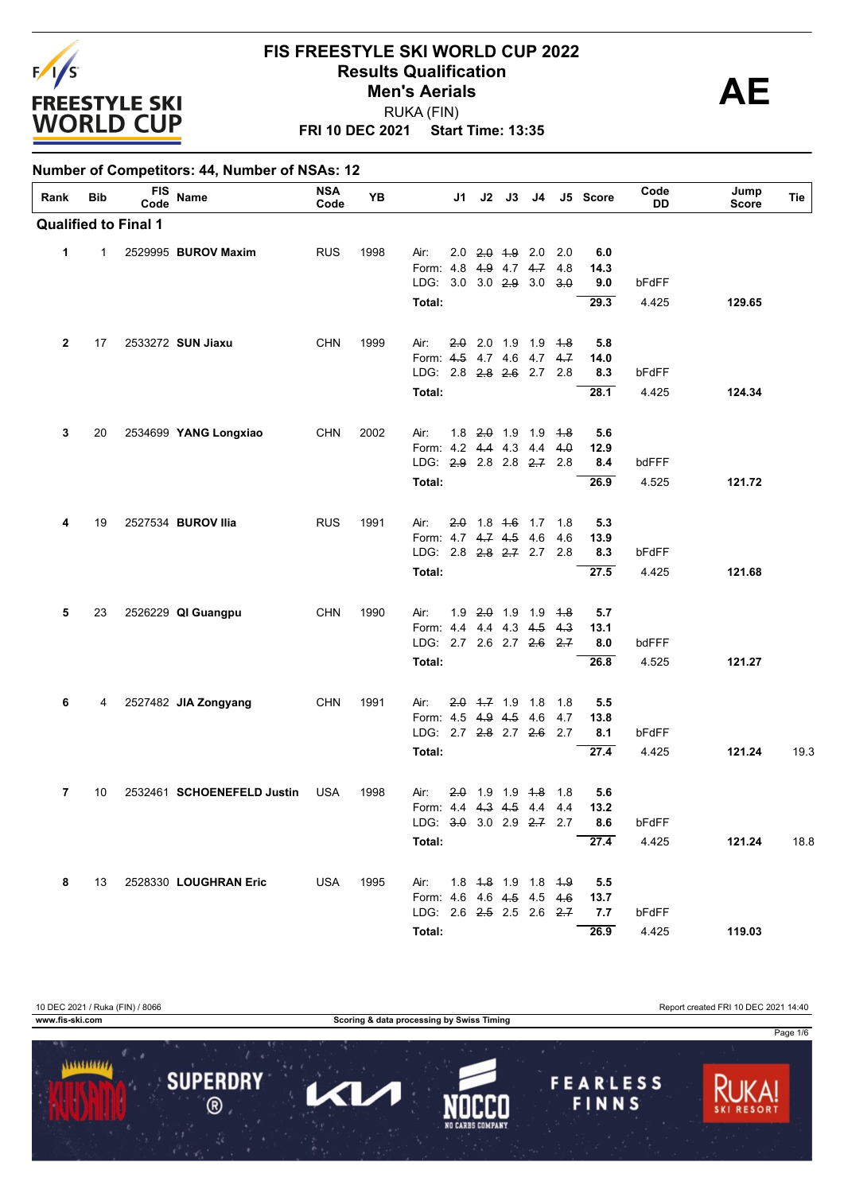

 $\mathbf{I}$ 

**Number of Competitors: 44, Number of NSAs: 12**

#### **FIS FREESTYLE SKI WORLD CUP 2022 Results Qualification**<br> **AE** RUKA (FIN) **Men's Aerials**

**FRI 10 DEC 2021 Start Time: 13:35**

| Rank         | <b>Bib</b> | <b>FIS</b><br>Code          | Name                       | <b>NSA</b><br>Code | YB   |                                               | J1. |                   | $J2$ $J3$ | J4                                        |     | J5 Score    | Code<br><b>DD</b> | Jump<br><b>Score</b> | Tie  |
|--------------|------------|-----------------------------|----------------------------|--------------------|------|-----------------------------------------------|-----|-------------------|-----------|-------------------------------------------|-----|-------------|-------------------|----------------------|------|
|              |            | <b>Qualified to Final 1</b> |                            |                    |      |                                               |     |                   |           |                                           |     |             |                   |                      |      |
| $\mathbf{1}$ | 1          |                             | 2529995 BUROV Maxim        | <b>RUS</b>         | 1998 | Air:                                          |     | $2.0$ $2.0$ $4.9$ |           | 2.0                                       | 2.0 | 6.0         |                   |                      |      |
|              |            |                             |                            |                    |      | Form: 4.8                                     |     |                   |           | 4.9 4.7 4.7                               | 4.8 | 14.3        |                   |                      |      |
|              |            |                             |                            |                    |      | LDG: 3.0 3.0 2.9 3.0                          |     |                   |           |                                           | 3.0 | 9.0         | bFdFF             |                      |      |
|              |            |                             |                            |                    |      | Total:                                        |     |                   |           |                                           |     | 29.3        | 4.425             | 129.65               |      |
| $\mathbf{2}$ | 17         |                             | 2533272 SUN Jiaxu          | <b>CHN</b>         | 1999 | Air:                                          |     |                   |           | $2.0$ 2.0 1.9 1.9 1.8                     |     | 5.8         |                   |                      |      |
|              |            |                             |                            |                    |      | Form: 4.5 4.7 4.6 4.7 4.7                     |     |                   |           |                                           |     | 14.0        |                   |                      |      |
|              |            |                             |                            |                    |      | LDG: 2.8 2.8 2.6 2.7 2.8                      |     |                   |           |                                           |     | 8.3         | bFdFF             |                      |      |
|              |            |                             |                            |                    |      | Total:                                        |     |                   |           |                                           |     | 28.1        | 4.425             | 124.34               |      |
| 3            | 20         |                             | 2534699 YANG Longxiao      | <b>CHN</b>         | 2002 | Air:                                          |     |                   |           | 1.8 2.0 1.9 1.9 4.8                       |     | 5.6         |                   |                      |      |
|              |            |                             |                            |                    |      | Form: 4.2 4.4 4.3 4.4 4.0                     |     |                   |           |                                           |     | 12.9        |                   |                      |      |
|              |            |                             |                            |                    |      | LDG: 2.9 2.8 2.8 2.7 2.8                      |     |                   |           |                                           |     | 8.4         | bdFFF             |                      |      |
|              |            |                             |                            |                    |      | Total:                                        |     |                   |           |                                           |     | 26.9        | 4.525             | 121.72               |      |
| 4            | 19         |                             | 2527534 BUROV Ilia         | <b>RUS</b>         | 1991 | Air:                                          | 20  |                   |           | 1.8 4.6 1.7 1.8                           |     | 5.3         |                   |                      |      |
|              |            |                             |                            |                    |      | Form: 4.7 4.7 4.5                             |     |                   |           | 4.6                                       | 4.6 | 13.9        |                   |                      |      |
|              |            |                             |                            |                    |      | LDG: 2.8 2.8 2.7 2.7 2.8                      |     |                   |           |                                           |     | 8.3         | bFdFF             |                      |      |
|              |            |                             |                            |                    |      | Total:                                        |     |                   |           |                                           |     | 27.5        | 4.425             | 121.68               |      |
| 5            | 23         |                             | 2526229 QI Guangpu         | <b>CHN</b>         | 1990 | Air:                                          |     |                   |           | 1.9 2.0 1.9 1.9 4.8                       |     | 5.7         |                   |                      |      |
|              |            |                             |                            |                    |      | Form: 4.4 4.4 4.3 4.5                         |     |                   |           |                                           | 4.3 | 13.1        |                   |                      |      |
|              |            |                             |                            |                    |      | LDG: 2.7 2.6 2.7 2.6 2.7                      |     |                   |           |                                           |     | 8.0         | bdFFF             |                      |      |
|              |            |                             |                            |                    |      | Total:                                        |     |                   |           |                                           |     | 26.8        | 4.525             | 121.27               |      |
| 6            | 4          |                             | 2527482 JIA Zongyang       | <b>CHN</b>         | 1991 | Air:                                          |     | $2.0$ 4.7 1.9 1.8 |           |                                           | 1.8 | 5.5         |                   |                      |      |
|              |            |                             |                            |                    |      | Form: 4.5 4.9 4.5<br>LDG: 2.7 2.8 2.7 2.6 2.7 |     |                   |           | 4.6                                       | 4.7 | 13.8<br>8.1 | bFdFF             |                      |      |
|              |            |                             |                            |                    |      |                                               |     |                   |           |                                           |     |             |                   |                      |      |
|              |            |                             |                            |                    |      | Total:                                        |     |                   |           |                                           |     | 27.4        | 4.425             | 121.24               | 19.3 |
| 7            | 10         |                             | 2532461 SCHOENEFELD Justin | <b>USA</b>         | 1998 | Air:                                          |     |                   |           | $2.0$ 1.9 1.9 4.8                         | 1.8 | 5.6         |                   |                      |      |
|              |            |                             |                            |                    |      | Form: 4.4 4.3 4.5 4.4                         |     |                   |           |                                           | 4.4 | 13.2        |                   |                      |      |
|              |            |                             |                            |                    |      | LDG: $3.0$ 3.0 2.9 $2.7$ 2.7                  |     |                   |           |                                           |     | 8.6         | bFdFF             |                      |      |
|              |            |                             |                            |                    |      | Total:                                        |     |                   |           |                                           |     | 27.4        | 4.425             | 121.24               | 18.8 |
| 8            | 13         |                             | 2528330 LOUGHRAN Eric      | USA                | 1995 | Air:                                          |     |                   |           | 1.8 <del>1.8</del> 1.9 1.8 <del>1.9</del> |     | 5.5         |                   |                      |      |
|              |            |                             |                            |                    |      | Form: 4.6 4.6 4.5 4.5 4.6                     |     |                   |           |                                           |     | 13.7        |                   |                      |      |
|              |            |                             |                            |                    |      | LDG: 2.6 2.5 2.5 2.6 2.7                      |     |                   |           |                                           |     | 7.7         | bFdFF             |                      |      |
|              |            |                             |                            |                    |      | Total:                                        |     |                   |           |                                           |     | 26.9        | 4.425             | 119.03               |      |

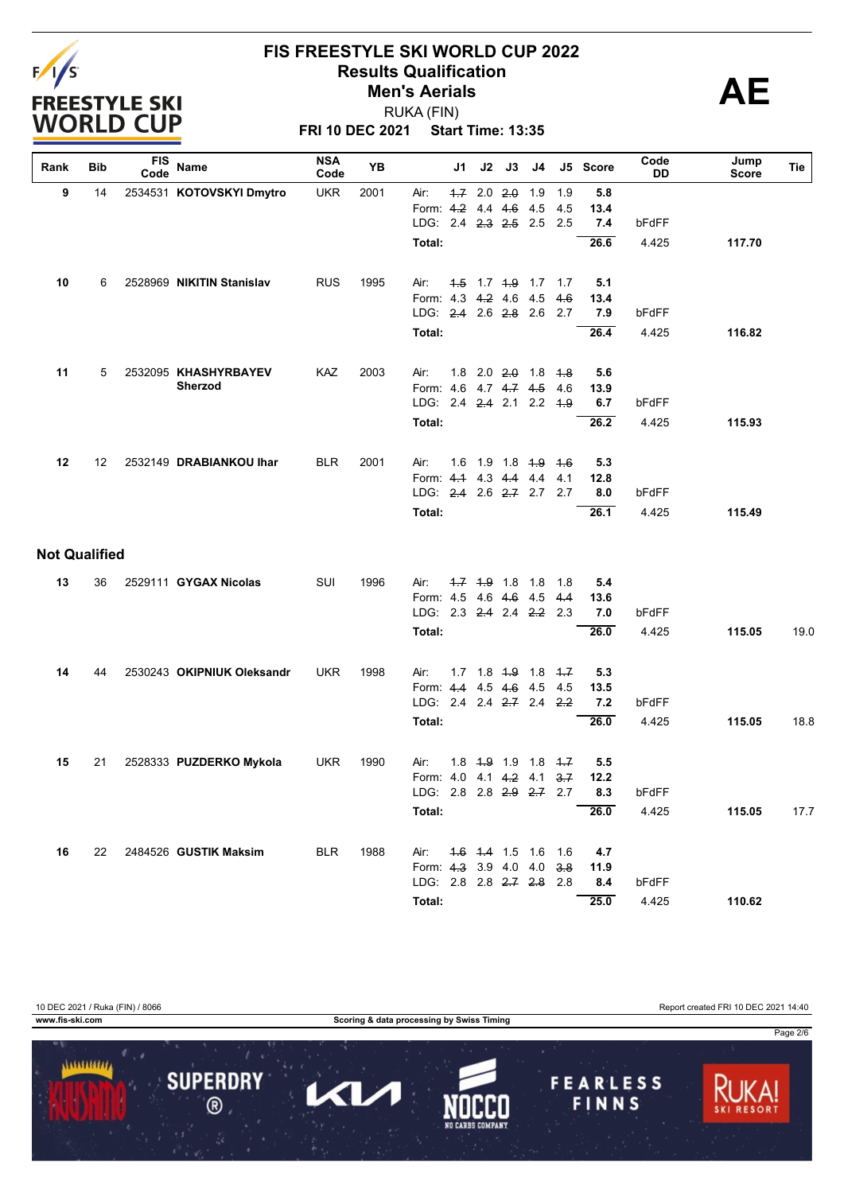

**FRI 10 DEC 2021 Start Time: 13:35** RUKA (FIN)

| Rank                 | Bib | <b>FIS</b><br>Code | Name                       | <b>NSA</b><br>Code | YB   | J1                              | J2                  | J3         | J4  |     | J5 Score | Code<br>DD | Jump<br>Score | Tie             |
|----------------------|-----|--------------------|----------------------------|--------------------|------|---------------------------------|---------------------|------------|-----|-----|----------|------------|---------------|-----------------|
| 9                    | 14  |                    | 2534531 KOTOVSKYI Dmytro   | <b>UKR</b>         | 2001 | Air:                            | $4.7$ 2.0 $2.0$     |            | 1.9 | 1.9 | 5.8      |            |               |                 |
|                      |     |                    |                            |                    |      | Form: 4.2                       |                     | $4.4$ 4.6  | 4.5 | 4.5 | 13.4     |            |               |                 |
|                      |     |                    |                            |                    |      | LDG: 2.4 2.3 2.5 2.5            |                     |            |     | 2.5 | 7.4      | bFdFF      |               |                 |
|                      |     |                    |                            |                    |      | Total:                          |                     |            |     |     | 26.6     | 4.425      | 117.70        |                 |
| 10                   | 6   |                    | 2528969 NIKITIN Stanislav  | <b>RUS</b>         | 1995 | Air:                            | 4.5 1.7 4.9 1.7 1.7 |            |     |     | 5.1      |            |               |                 |
|                      |     |                    |                            |                    |      | Form: 4.3 4.2 4.6               |                     |            | 4.5 | 4.6 | 13.4     |            |               |                 |
|                      |     |                    |                            |                    |      | LDG: 2.4 2.6 2.8 2.6            |                     |            |     | 2.7 | 7.9      | bFdFF      |               |                 |
|                      |     |                    |                            |                    |      | Total:                          |                     |            |     |     | 26.4     | 4.425      | 116.82        |                 |
| 11                   | 5   |                    | 2532095 KHASHYRBAYEV       | KAZ                | 2003 | Air:                            | $1.8$ 2.0 $2.0$ 1.8 |            |     | 4.8 | 5.6      |            |               |                 |
|                      |     |                    | Sherzod                    |                    |      | Form: 4.6 4.7 4.7 4.5           |                     |            |     | 4.6 | 13.9     |            |               |                 |
|                      |     |                    |                            |                    |      | LDG: 2.4 2.4 2.1 2.2 4.9        |                     |            |     |     | 6.7      | bFdFF      |               |                 |
|                      |     |                    |                            |                    |      | Total:                          |                     |            |     |     | 26.2     | 4.425      | 115.93        |                 |
| 12                   | 12  |                    | 2532149 DRABIANKOU Ihar    | <b>BLR</b>         | 2001 | 1.6<br>Air:                     |                     | $1.9$ 1.8  | 4.9 | 4.6 | 5.3      |            |               |                 |
|                      |     |                    |                            |                    |      | Form: 4.1 4.3 4.4               |                     |            | 4.4 | 4.1 | 12.8     |            |               |                 |
|                      |     |                    |                            |                    |      | LDG: 2.4 2.6 2.7 2.7            |                     |            |     | 2.7 | 8.0      | bFdFF      |               |                 |
|                      |     |                    |                            |                    |      | Total:                          |                     |            |     |     | 26.1     | 4.425      | 115.49        |                 |
| <b>Not Qualified</b> |     |                    |                            |                    |      |                                 |                     |            |     |     |          |            |               |                 |
| 13                   | 36  |                    | 2529111 GYGAX Nicolas      | SUI                | 1996 | Air:                            | $-1.7$ $-1.9$ 1.8   |            | 1.8 | 1.8 | 5.4      |            |               |                 |
|                      |     |                    |                            |                    |      | Form: 4.5 4.6 4.6 4.5           |                     |            |     | 4.4 | 13.6     |            |               |                 |
|                      |     |                    |                            |                    |      | LDG: 2.3 2.4 2.4 2.2            |                     |            |     | 2.3 | 7.0      | bFdFF      |               |                 |
|                      |     |                    |                            |                    |      | Total:                          |                     |            |     |     | 26.0     | 4.425      | 115.05        | 19 <sub>c</sub> |
| 14                   | 44  |                    | 2530243 OKIPNIUK Oleksandr | <b>UKR</b>         | 1998 | Air:                            | 1.7 1.8 4.9 1.8 4.7 |            |     |     | 5.3      |            |               |                 |
|                      |     |                    |                            |                    |      | Form: 4.4 4.5 4.6 4.5           |                     |            |     | 4.5 | 13.5     |            |               |                 |
|                      |     |                    |                            |                    |      | LDG: 2.4 2.4 <del>2.7</del> 2.4 |                     |            |     | 2.2 | 7.2      | bFdFF      |               |                 |
|                      |     |                    |                            |                    |      | Total:                          |                     |            |     |     | 26.0     | 4.425      | 115.05        | 18.8            |
| 15                   | 21  |                    | 2528333 PUZDERKO Mykola    | <b>UKR</b>         | 1990 | 1.8<br>Air:                     |                     | $-4.9$ 1.9 | 1.8 | 4.7 | 5.5      |            |               |                 |
|                      |     |                    |                            |                    |      | Form: 4.0 4.1 4.2 4.1           |                     |            |     | 3.7 | 12.2     |            |               |                 |
|                      |     |                    |                            |                    |      | LDG: 2.8 2.8 2.9 2.7 2.7        |                     |            |     |     | 8.3      | bFdFF      |               |                 |
|                      |     |                    |                            |                    |      | Total:                          |                     |            |     |     | 26.0     | 4.425      | 115.05        | 17.7            |
| 16                   | 22  |                    | 2484526 GUSTIK Maksim      | <b>BLR</b>         | 1988 | Air:                            | 4.6 4.4 1.5 1.6 1.6 |            |     |     | 4.7      |            |               |                 |
|                      |     |                    |                            |                    |      | Form: 4.3 3.9 4.0 4.0 3.8       |                     |            |     |     | 11.9     |            |               |                 |
|                      |     |                    |                            |                    |      | LDG: 2.8 2.8 2.7 2.8 2.8        |                     |            |     |     | 8.4      | bFdFF      |               |                 |
|                      |     |                    |                            |                    |      | Total:                          |                     |            |     |     | 25.0     | 4.425      | 110.62        |                 |

10 DEC 2021 / Ruka (FIN) / 8066 Report created FRI 10 DEC 2021 14:40

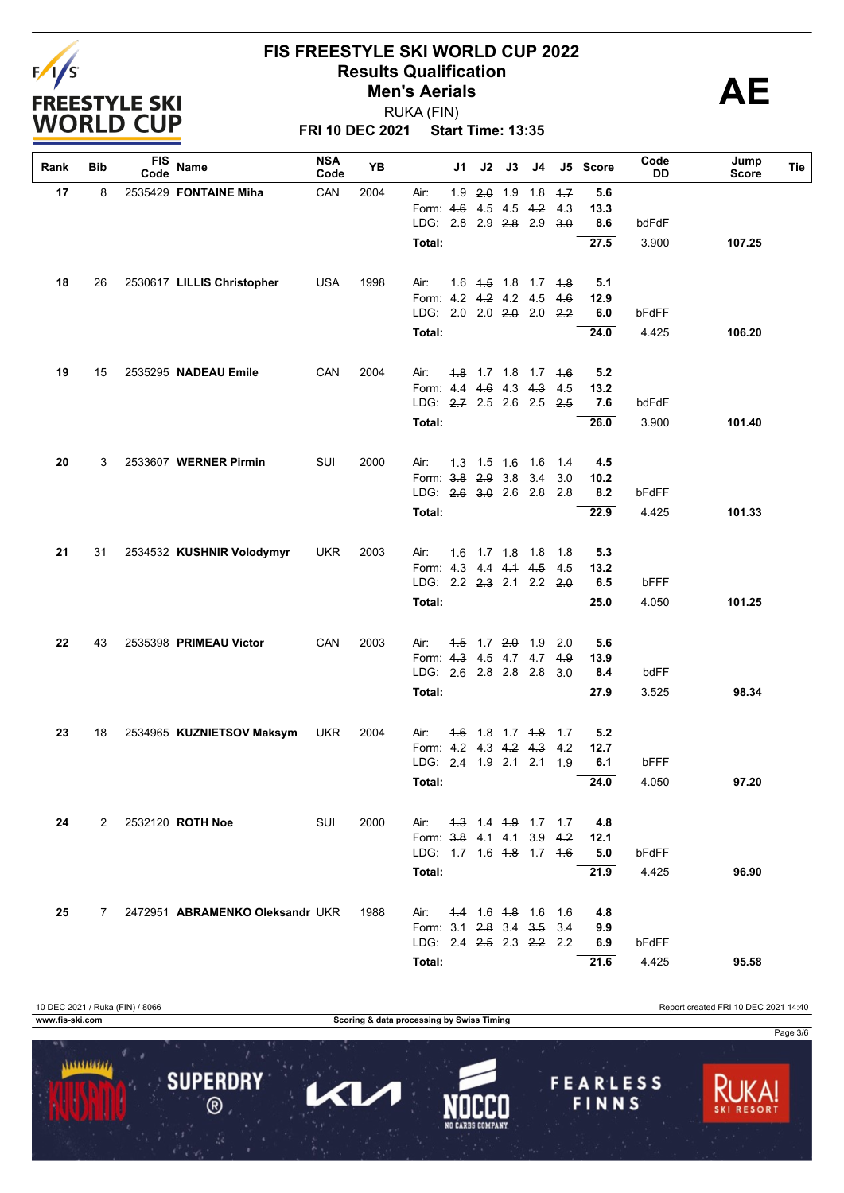

**FRI 10 DEC 2021 Start Time: 13:35** RUKA (FIN)

| Rank | Bib | <b>FIS</b><br>Code | Name                            | <b>NSA</b><br>Code | YB   |                                                                             | J1            | J2 | J3                  | J4                                        |      | J5 Score   | Code<br>DD | Jump<br><b>Score</b> | Tie |
|------|-----|--------------------|---------------------------------|--------------------|------|-----------------------------------------------------------------------------|---------------|----|---------------------|-------------------------------------------|------|------------|------------|----------------------|-----|
| 17   | 8   |                    | 2535429 FONTAINE Miha           | CAN                | 2004 | Air:                                                                        | 1.9           |    | $2.0$ 1.9           | 1.8                                       | $+7$ | 5.6        |            |                      |     |
|      |     |                    |                                 |                    |      | Form: 4.6                                                                   |               |    | 4.5 4.5             | 4.2                                       | 4.3  | 13.3       |            |                      |     |
|      |     |                    |                                 |                    |      | LDG: 2.8 2.9 2.8 2.9                                                        |               |    |                     |                                           | 3.0  | 8.6        | bdFdF      |                      |     |
|      |     |                    |                                 |                    |      | Total:                                                                      |               |    |                     |                                           |      | 27.5       | 3.900      | 107.25               |     |
| 18   | 26  |                    | 2530617 LILLIS Christopher      | <b>USA</b>         | 1998 | Air:                                                                        |               |    |                     | 1.6 4.5 1.8 1.7 4.8                       |      | 5.1        |            |                      |     |
|      |     |                    |                                 |                    |      | Form: 4.2 4.2 4.2 4.5                                                       |               |    |                     |                                           | 4.6  | 12.9       |            |                      |     |
|      |     |                    |                                 |                    |      | LDG: 2.0 2.0 2.0 2.0 2.2                                                    |               |    |                     |                                           |      | 6.0        | bFdFF      |                      |     |
|      |     |                    |                                 |                    |      | <b>Total:</b>                                                               |               |    |                     |                                           |      | 24.0       | 4.425      | 106.20               |     |
| 19   | 15  |                    | 2535295 NADEAU Emile            | CAN                | 2004 |                                                                             |               |    |                     | <del>1.8</del> 1.7 1.8 1.7 <del>1.6</del> |      | 5.2        |            |                      |     |
|      |     |                    |                                 |                    |      | Air:<br>Form: 4.4 4.6 4.3 4.3                                               |               |    |                     |                                           | 4.5  | 13.2       |            |                      |     |
|      |     |                    |                                 |                    |      | LDG: 2.7 2.5 2.6 2.5                                                        |               |    |                     |                                           | 2.5  | 7.6        | bdFdF      |                      |     |
|      |     |                    |                                 |                    |      | <b>Total:</b>                                                               |               |    |                     |                                           |      | 26.0       | 3.900      | 101.40               |     |
|      |     |                    |                                 |                    |      |                                                                             |               |    |                     |                                           |      |            |            |                      |     |
| 20   | 3   |                    | 2533607 WERNER Pirmin           | SUI                | 2000 | Air:                                                                        |               |    | $1.3$ 1.5 $1.6$ 1.6 |                                           | 1.4  | 4.5        |            |                      |     |
|      |     |                    |                                 |                    |      | Form: 3.8 2.9 3.8 3.4<br>LDG: 2.6 3.0 2.6 2.8                               |               |    |                     |                                           | 3.0  | 10.2       |            |                      |     |
|      |     |                    |                                 |                    |      |                                                                             |               |    |                     |                                           | 2.8  | 8.2        | bFdFF      |                      |     |
|      |     |                    |                                 |                    |      | <b>Total:</b>                                                               |               |    |                     |                                           |      | 22.9       | 4.425      | 101.33               |     |
| 21   | 31  |                    | 2534532 KUSHNIR Volodymyr       | <b>UKR</b>         | 2003 | Air:                                                                        | $4.6^{\circ}$ |    | $1.7$ $4.8$ $1.8$   |                                           | 1.8  | 5.3        |            |                      |     |
|      |     |                    |                                 |                    |      | Form: 4.3 4.4 4.4 4.5                                                       |               |    |                     |                                           | -4.5 | 13.2       |            |                      |     |
|      |     |                    |                                 |                    |      | LDG: 2.2 2.3 2.1 2.2 2.0                                                    |               |    |                     |                                           |      | 6.5        | bFFF       |                      |     |
|      |     |                    |                                 |                    |      | <b>Total:</b>                                                               |               |    |                     |                                           |      | 25.0       | 4.050      | 101.25               |     |
| 22   | 43  |                    | 2535398 PRIMEAU Victor          | CAN                | 2003 | Air:                                                                        |               |    |                     | $4.5$ 1.7 $2.0$ 1.9                       | 2.0  | 5.6        |            |                      |     |
|      |     |                    |                                 |                    |      | Form: 4.3 4.5 4.7 4.7                                                       |               |    |                     |                                           | 4.9  | 13.9       |            |                      |     |
|      |     |                    |                                 |                    |      | LDG: 2.6 2.8 2.8 2.8                                                        |               |    |                     |                                           | 3.0  | 8.4        | bdFF       |                      |     |
|      |     |                    |                                 |                    |      | Total:                                                                      |               |    |                     |                                           |      | 27.9       | 3.525      | 98.34                |     |
| 23   | 18  |                    | 2534965 KUZNIETSOV Maksym       | <b>UKR</b>         | 2004 | Air:                                                                        |               |    | $4.6$ 1.8 1.7 $4.8$ |                                           | 1.7  | 5.2        |            |                      |     |
|      |     |                    |                                 |                    |      | Form: 4.2 4.3 4.2 4.3                                                       |               |    |                     |                                           | 4.2  | 12.7       |            |                      |     |
|      |     |                    |                                 |                    |      | LDG: 2.4 1.9 2.1 2.1                                                        |               |    |                     |                                           | $+9$ | 6.1        | bFFF       |                      |     |
|      |     |                    |                                 |                    |      | Total:                                                                      |               |    |                     |                                           |      | 24.0       | 4.050      | 97.20                |     |
| 24   |     |                    | 2 2532120 ROTH Noe              | SUI                | 2000 |                                                                             |               |    |                     |                                           |      | 4.8        |            |                      |     |
|      |     |                    |                                 |                    |      | Air:<br>Form: 3-8 41 41 39                                                  |               |    |                     | 4.3 1.4 4.9 1.7 1.7                       | 4.2  | 12.1       |            |                      |     |
|      |     |                    |                                 |                    |      | LDG: 1.7 1.6 <del>1.8</del> 1.7 <del>1.6</del>                              |               |    |                     |                                           |      | 5.0        | bFdFF      |                      |     |
|      |     |                    |                                 |                    |      | Total:                                                                      |               |    |                     |                                           |      | 21.9       | 4.425      | 96.90                |     |
|      |     |                    |                                 |                    |      |                                                                             |               |    |                     |                                           |      |            |            |                      |     |
| 25   | 7   |                    | 2472951 ABRAMENKO Oleksandr UKR |                    | 1988 | Air: .                                                                      |               |    |                     | 4.4 1.6 4.8 1.6 1.6                       |      | 4.8        |            |                      |     |
|      |     |                    |                                 |                    |      | Form: 3.1 2.8 3.4 3.5 3.4<br>LDG: 2.4 <del>2.5</del> 2.3 <del>2.2</del> 2.2 |               |    |                     |                                           |      | 9.9<br>6.9 | bFdFF      |                      |     |
|      |     |                    |                                 |                    |      |                                                                             |               |    |                     |                                           |      |            |            |                      |     |
|      |     |                    |                                 |                    |      | Total:                                                                      |               |    |                     |                                           |      | 21.6       | 4.425      | 95.58                |     |

10 DEC 2021 / Ruka (FIN) / 8066 Report created FRI 10 DEC 2021 14:40 **www.fis-ski.com Scoring & data processing by Swiss Timing** Page 3/6........... **SUPERDRY FEARLESS** Π  $\mathbf{Z}$  $\circledR$ FINNS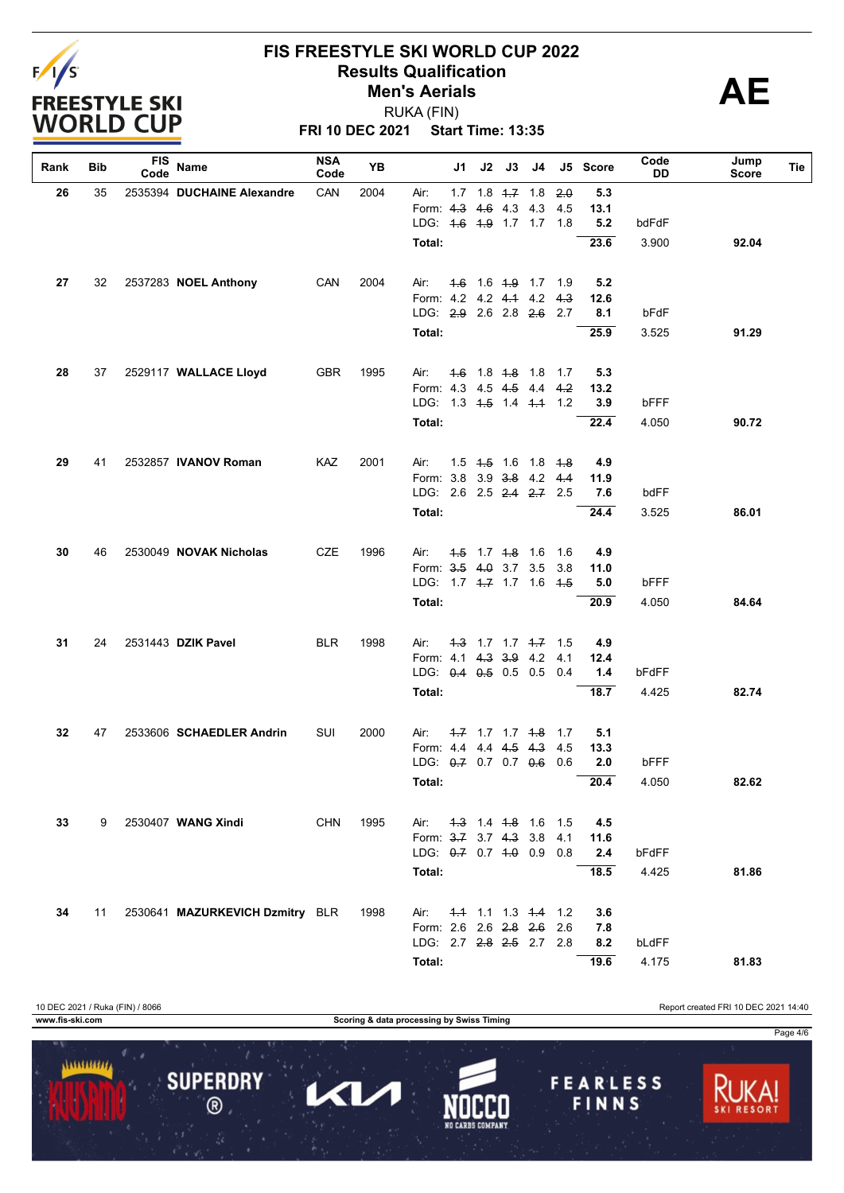

**FRI 10 DEC 2021 Start Time: 13:35** RUKA (FIN)

| Rank | Bib | <b>FIS</b><br>Code | Name                            | <b>NSA</b><br>Code | YB   |                           | J1            | J2 | J3                      | J4                         |       | J5 Score | Code<br>DD | Jump<br>Score | Tie |
|------|-----|--------------------|---------------------------------|--------------------|------|---------------------------|---------------|----|-------------------------|----------------------------|-------|----------|------------|---------------|-----|
| 26   | 35  |                    | 2535394 DUCHAINE Alexandre      | CAN                | 2004 | Air:                      |               |    | $1.7$ $1.8$ $4.7$ $1.8$ |                            | 2.0   | 5.3      |            |               |     |
|      |     |                    |                                 |                    |      | Form: 4.3                 |               |    | 4.6 4.3 4.3             |                            | 4.5   | 13.1     |            |               |     |
|      |     |                    |                                 |                    |      | LDG: 4.6 4.9 1.7 1.7 1.8  |               |    |                         |                            |       | 5.2      | bdFdF      |               |     |
|      |     |                    |                                 |                    |      | Total:                    |               |    |                         |                            |       | 23.6     | 3.900      | 92.04         |     |
| 27   | 32  |                    | 2537283 NOEL Anthony            | CAN                | 2004 | Air:                      | $4.6^{\circ}$ |    |                         | 1.6 <del>1.9</del> 1.7 1.9 |       | 5.2      |            |               |     |
|      |     |                    |                                 |                    |      | Form: 4.2 4.2 4.4 4.2     |               |    |                         |                            | 4.3   | 12.6     |            |               |     |
|      |     |                    |                                 |                    |      | LDG: 2.9 2.6 2.8 2.6 2.7  |               |    |                         |                            |       | 8.1      | bFdF       |               |     |
|      |     |                    |                                 |                    |      | Total:                    |               |    |                         |                            |       | 25.9     | 3.525      | 91.29         |     |
| 28   | 37  |                    | 2529117 WALLACE Lloyd           | <b>GBR</b>         | 1995 | Air:                      |               |    |                         | 4.6 1.8 4.8 1.8 1.7        |       | 5.3      |            |               |     |
|      |     |                    |                                 |                    |      | Form: 4.3 4.5 4.5         |               |    |                         | 4.4                        | 4.2   | 13.2     |            |               |     |
|      |     |                    |                                 |                    |      | LDG: 1.3 4.5 1.4 4.4 1.2  |               |    |                         |                            |       | 3.9      | bFFF       |               |     |
|      |     |                    |                                 |                    |      | Total:                    |               |    |                         |                            |       | 22.4     | 4.050      | 90.72         |     |
| 29   | 41  |                    | 2532857 IVANOV Roman            | KAZ                | 2001 | Air:                      |               |    |                         | 1.5 4.5 1.6 1.8 4.8        |       | 4.9      |            |               |     |
|      |     |                    |                                 |                    |      | Form: 3.8 3.9 3.8 4.2     |               |    |                         |                            | 4.4   | 11.9     |            |               |     |
|      |     |                    |                                 |                    |      | LDG: 2.6 2.5 2.4 2.7 2.5  |               |    |                         |                            |       | 7.6      | bdFF       |               |     |
|      |     |                    |                                 |                    |      | Total:                    |               |    |                         |                            |       | 24.4     | 3.525      | 86.01         |     |
| 30   | 46  |                    | 2530049 NOVAK Nicholas          | <b>CZE</b>         | 1996 | Air:                      |               |    | 4.5 1.7 4.8 1.6         |                            | 1.6   | 4.9      |            |               |     |
|      |     |                    |                                 |                    |      | Form: 3.5 4.0 3.7 3.5     |               |    |                         |                            | 3.8   | 11.0     |            |               |     |
|      |     |                    |                                 |                    |      | LDG: 1.7 4–7 1.7 1.6      |               |    |                         |                            | - 4.5 | 5.0      | bFFF       |               |     |
|      |     |                    |                                 |                    |      | Total:                    |               |    |                         |                            |       | 20.9     | 4.050      | 84.64         |     |
| 31   | 24  |                    | 2531443 DZIK Pavel              | <b>BLR</b>         | 1998 | Air:                      |               |    |                         | $4.3$ 1.7 1.7 $4.7$ 1.5    |       | 4.9      |            |               |     |
|      |     |                    |                                 |                    |      | Form: 4.1 4.3 3.9         |               |    |                         | 4.2                        | 4.1   | 12.4     |            |               |     |
|      |     |                    |                                 |                    |      | LDG: $0.4$ $0.5$ 0.5 0.5  |               |    |                         |                            | 0.4   | 1.4      | bFdFF      |               |     |
|      |     |                    |                                 |                    |      | Total:                    |               |    |                         |                            |       | 18.7     | 4.425      | 82.74         |     |
| 32   | 47  |                    | 2533606 SCHAEDLER Andrin        | SUI                | 2000 | Air:                      |               |    | $1.7$ 1.7 1.7 $1.8$     |                            | 1.7   | 5.1      |            |               |     |
|      |     |                    |                                 |                    |      | Form: 4.4 4.4 4.5 4.3     |               |    |                         |                            | 4.5   | 13.3     |            |               |     |
|      |     |                    |                                 |                    |      | LDG: 0.7 0.7 0.7 0.6      |               |    |                         |                            | 0.6   | 2.0      | bFFF       |               |     |
|      |     |                    |                                 |                    |      | Total:                    |               |    |                         |                            |       | 20.4     | 4.050      | 82.62         |     |
| 33   | 9   |                    | 2530407 WANG Xindi              | <b>CHN</b>         | 1995 | Air:                      |               |    |                         | 4.3 1.4 4.8 1.6 1.5        |       | 4.5      |            |               |     |
|      |     |                    |                                 |                    |      | Form: 3.7 3.7 4.3 3.8     |               |    |                         |                            | 4.1   | 11.6     |            |               |     |
|      |     |                    |                                 |                    |      | LDG: 0.7 0.7 1.0 0.9 0.8  |               |    |                         |                            |       | 2.4      | bFdFF      |               |     |
|      |     |                    |                                 |                    |      | Total:                    |               |    |                         |                            |       | 18.5     | 4.425      | 81.86         |     |
| 34   | 11  |                    | 2530641 MAZURKEVICH Dzmitry BLR |                    | 1998 | Air:                      |               |    |                         | 4.4 1.1 1.3 4.4 1.2        |       | 3.6      |            |               |     |
|      |     |                    |                                 |                    |      | Form: 2.6 2.6 2.8 2.6 2.6 |               |    |                         |                            |       | 7.8      |            |               |     |
|      |     |                    |                                 |                    |      | LDG: 2.7 2.8 2.5 2.7 2.8  |               |    |                         |                            |       | 8.2      | bLdFF      |               |     |
|      |     |                    |                                 |                    |      | Total:                    |               |    |                         |                            |       | 19.6     | 4.175      | 81.83         |     |

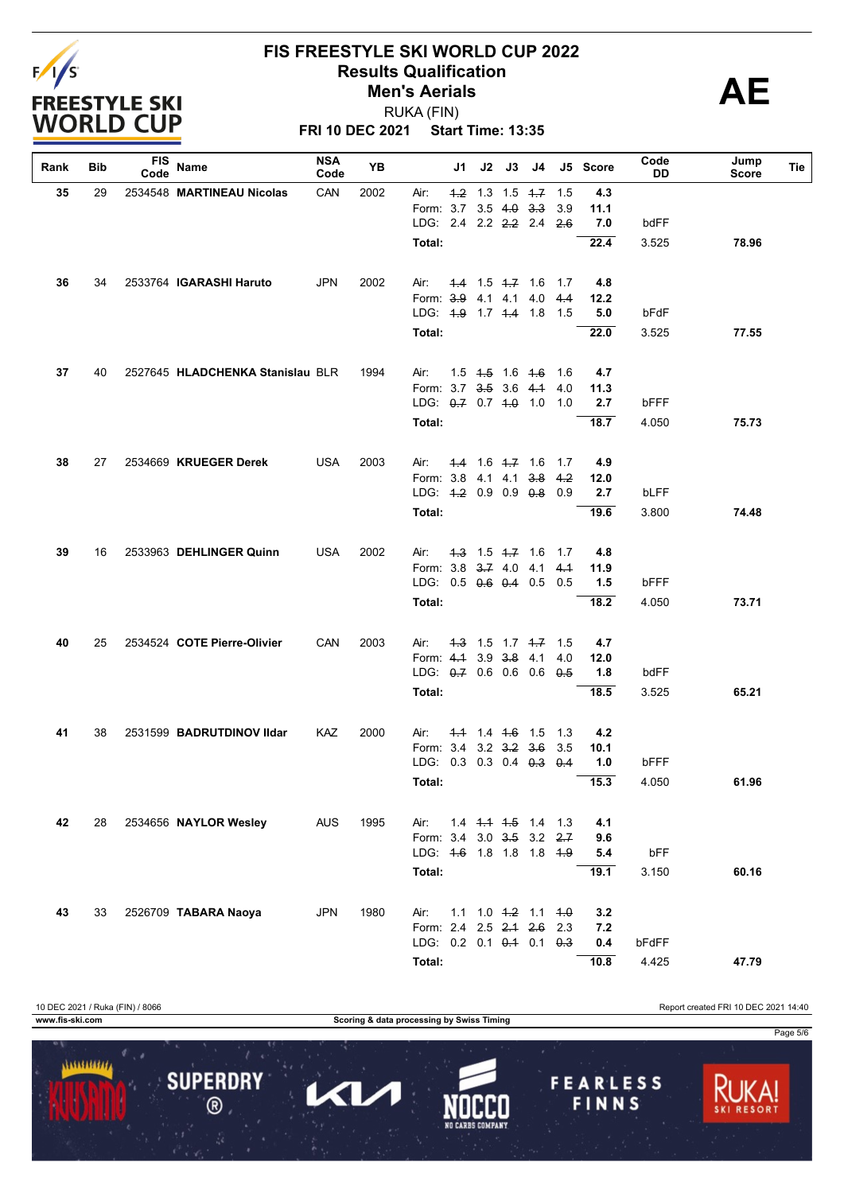

**FRI 10 DEC 2021 Start Time: 13:35** RUKA (FIN)

| Rank | Bib | FIS<br>Code | Name                             | <b>NSA</b><br>Code | <b>YB</b> |                                                 | J1   | J2 | J3                  | J4                                        |               | J5 Score    | Code<br>DD | Jump<br>Score | Tie |
|------|-----|-------------|----------------------------------|--------------------|-----------|-------------------------------------------------|------|----|---------------------|-------------------------------------------|---------------|-------------|------------|---------------|-----|
| 35   | 29  |             | 2534548 MARTINEAU Nicolas        | CAN                | 2002      | Air:                                            | $+2$ |    |                     | 1.3 1.5 $+7$                              | 1.5           | 4.3         |            |               |     |
|      |     |             |                                  |                    |           | Form: 3.7 3.5 4.0 3.3                           |      |    |                     |                                           | 3.9           | 11.1        |            |               |     |
|      |     |             |                                  |                    |           | LDG: 2.4 2.2 2.2 2.4                            |      |    |                     |                                           | 2.6           | 7.0         | bdFF       |               |     |
|      |     |             |                                  |                    |           | Total:                                          |      |    |                     |                                           |               | 22.4        | 3.525      | 78.96         |     |
|      |     |             |                                  |                    |           |                                                 |      |    |                     |                                           |               |             |            |               |     |
| 36   | 34  |             | 2533764 IGARASHI Haruto          | <b>JPN</b>         | 2002      | Air:                                            |      |    | $-4.4$ 1.5 $+7$ 1.6 |                                           | 1.7           | 4.8         |            |               |     |
|      |     |             |                                  |                    |           | Form: 3.9 4.1 4.1 4.0                           |      |    |                     |                                           | 4.4           | 12.2        |            |               |     |
|      |     |             |                                  |                    |           | LDG: 4.9 1.7 4.4 1.8                            |      |    |                     |                                           | 1.5           | 5.0         | bFdF       |               |     |
|      |     |             |                                  |                    |           | Total:                                          |      |    |                     |                                           |               | 22.0        | 3.525      | 77.55         |     |
|      |     |             |                                  |                    |           |                                                 |      |    |                     |                                           |               |             |            |               |     |
| 37   | 40  |             | 2527645 HLADCHENKA Stanislau BLR |                    | 1994      | Air:                                            |      |    |                     | 1.5 <del>1.5</del> 1.6 <del>1.6</del> 1.6 |               | 4.7         |            |               |     |
|      |     |             |                                  |                    |           | Form: 3.7 3.5 3.6 4.1<br>LDG: $0.7$ 0.7 4.0 1.0 |      |    |                     |                                           | 4.0<br>$-1.0$ | 11.3<br>2.7 | bFFF       |               |     |
|      |     |             |                                  |                    |           |                                                 |      |    |                     |                                           |               |             |            |               |     |
|      |     |             |                                  |                    |           | Total:                                          |      |    |                     |                                           |               | 18.7        | 4.050      | 75.73         |     |
| 38   | 27  |             | 2534669 KRUEGER Derek            | <b>USA</b>         | 2003      | Air:                                            |      |    | $1.4$ 1.6 $1.7$ 1.6 |                                           | 1.7           | 4.9         |            |               |     |
|      |     |             |                                  |                    |           | Form: 3.8 4.1 4.1 3.8 4.2                       |      |    |                     |                                           |               | 12.0        |            |               |     |
|      |     |             |                                  |                    |           | LDG: 4.2 0.9 0.9 0.8 0.9                        |      |    |                     |                                           |               | 2.7         | bLFF       |               |     |
|      |     |             |                                  |                    |           | Total:                                          |      |    |                     |                                           |               | 19.6        | 3.800      | 74.48         |     |
|      |     |             |                                  |                    |           |                                                 |      |    |                     |                                           |               |             |            |               |     |
| 39   | 16  |             | 2533963 DEHLINGER Quinn          | USA                | 2002      | Air:                                            |      |    | $4.3$ 1.5 $4.7$ 1.6 |                                           | 1.7           | 4.8         |            |               |     |
|      |     |             |                                  |                    |           | Form: 3.8 3.7 4.0 4.1                           |      |    |                     |                                           | 4.1           | 11.9        |            |               |     |
|      |     |             |                                  |                    |           | LDG: 0.5 0.6 0.4 0.5                            |      |    |                     |                                           | 0.5           | 1.5         | bFFF       |               |     |
|      |     |             |                                  |                    |           | Total:                                          |      |    |                     |                                           |               | 18.2        | 4.050      | 73.71         |     |
| 40   | 25  |             | 2534524 COTE Pierre-Olivier      | CAN                | 2003      | Air:                                            |      |    |                     | $4.3$ 1.5 1.7 $4.7$ 1.5                   |               | 4.7         |            |               |     |
|      |     |             |                                  |                    |           | Form: 4.1 3.9 3.8 4.1                           |      |    |                     |                                           | 4.0           | 12.0        |            |               |     |
|      |     |             |                                  |                    |           | LDG: 0.7 0.6 0.6 0.6 0.5                        |      |    |                     |                                           |               | 1.8         | bdFF       |               |     |
|      |     |             |                                  |                    |           |                                                 |      |    |                     |                                           |               | 18.5        | 3.525      |               |     |
|      |     |             |                                  |                    |           | Total:                                          |      |    |                     |                                           |               |             |            | 65.21         |     |
| 41   | 38  |             | 2531599 BADRUTDINOV Ildar        | KAZ                | 2000      | Air:                                            |      |    | $1.4$ 1.4 $1.6$ 1.5 |                                           | 1.3           | 4.2         |            |               |     |
|      |     |             |                                  |                    |           | Form: 3.4 3.2 3.2 3.6                           |      |    |                     |                                           | 3.5           | 10.1        |            |               |     |
|      |     |             |                                  |                    |           | LDG: 0.3 0.3 0.4 0.3 0.4                        |      |    |                     |                                           |               | 1.0         | bFFF       |               |     |
|      |     |             |                                  |                    |           | Total:                                          |      |    |                     |                                           |               | 15.3        | 4.050      | 61.96         |     |
|      |     |             |                                  |                    |           |                                                 |      |    |                     |                                           |               |             |            |               |     |
| 42   | 28  |             | 2534656 NAYLOR Wesley            | <b>AUS</b>         | 1995      | Air:                                            |      |    |                     | 14 4 4 4 4 5 1 4 1 3                      |               | 4.1         |            |               |     |
|      |     |             |                                  |                    |           | Form: 3.4 3.0 3.5 3.2                           |      |    |                     |                                           | 2.7           | 9.6         |            |               |     |
|      |     |             |                                  |                    |           | LDG: 4.6 1.8 1.8 1.8 4.9                        |      |    |                     |                                           |               | 5.4         | bFF        |               |     |
|      |     |             |                                  |                    |           | Total:                                          |      |    |                     |                                           |               | 19.1        | 3.150      | 60.16         |     |
| 43   | 33  |             | 2526709 TABARA Naoya             | <b>JPN</b>         | 1980      | Air:                                            |      |    |                     | $1.1$ $1.0$ $1.2$ $1.1$                   | $+0$          | 3.2         |            |               |     |
|      |     |             |                                  |                    |           | Form: 2.4 2.5 2.4 2.6                           |      |    |                     |                                           | 2.3           | 7.2         |            |               |     |
|      |     |             |                                  |                    |           | LDG: 0.2 0.1 0.4 0.1 0.3                        |      |    |                     |                                           |               | 0.4         | bFdFF      |               |     |
|      |     |             |                                  |                    |           | Total:                                          |      |    |                     |                                           |               | 10.8        | 4.425      | 47.79         |     |